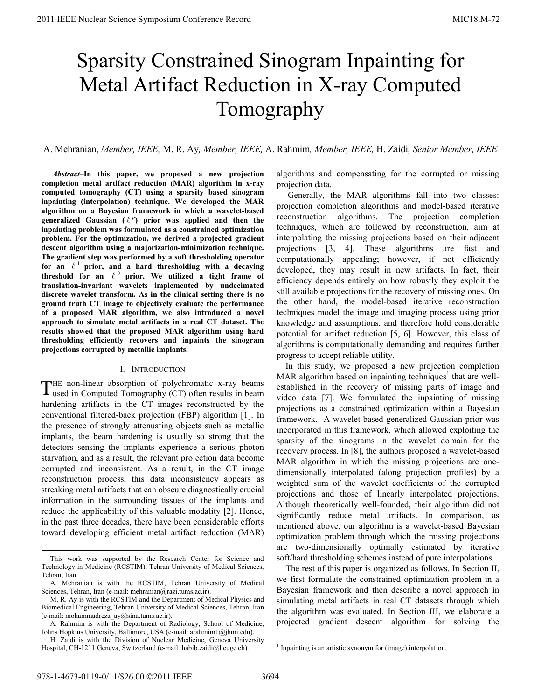# Sparsity Constrained Sinogram Inpainting for Metal Artifact Reduction in X-ray Computed Tomography

## A. Mehranian, *Member, IEEE,* M. R. Ay*, Member, IEEE,* A. Rahmim*, Member, IEEE,* H. Zaidi*, Senior Member, IEEE*

 *Abstract–***In this paper, we proposed a new projection completion metal artifact reduction (MAR) algorithm in x-ray computed tomography (CT) using a sparsity based sinogram inpainting (interpolation) technique. We developed the MAR algorithm on a Bayesian framework in which a wavelet-based**  generalized Gaussian  $(\ell^p)$  prior was applied and then the **inpainting problem was formulated as a constrained optimization problem. For the optimization, we derived a projected gradient descent algorithm using a majorization-minimization technique. The gradient step was performed by a soft thresholding operator**  for an  $\ell^1$  prior, and a hard thresholding with a decaying threshold for an  $\ell^0$  prior. We utilized a tight frame of **translation-invariant wavelets implemented by undecimated discrete wavelet transform. As in the clinical setting there is no ground truth CT image to objectively evaluate the performance of a proposed MAR algorithm, we also introduced a novel approach to simulate metal artifacts in a real CT dataset. The results showed that the proposed MAR algorithm using hard thresholding efficiently recovers and inpaints the sinogram projections corrupted by metallic implants.** 

## I. INTRODUCTION

THE non-linear absorption of polychromatic x-ray beams THE non-linear absorption of polychromatic x-ray beams<br>
Tused in Computed Tomography (CT) often results in beam hardening artifacts in the CT images reconstructed by the conventional filtered-back projection (FBP) algorithm [1]. In the presence of strongly attenuating objects such as metallic implants, the beam hardening is usually so strong that the detectors sensing the implants experience a serious photon starvation, and as a result, the relevant projection data become corrupted and inconsistent. As a result, in the CT image reconstruction process, this data inconsistency appears as streaking metal artifacts that can obscure diagnostically crucial information in the surrounding tissues of the implants and reduce the applicability of this valuable modality [2]. Hence, in the past three decades, there have been considerable efforts toward developing efficient metal artifact reduction (MAR)

algorithms and compensating for the corrupted or missing projection data.

 Generally, the MAR algorithms fall into two classes: projection completion algorithms and model-based iterative reconstruction algorithms. The projection completion techniques, which are followed by reconstruction, aim at interpolating the missing projections based on their adjacent projections [3, 4]. These algorithms are fast and computationally appealing; however, if not efficiently developed, they may result in new artifacts. In fact, their efficiency depends entirely on how robustly they exploit the still available projections for the recovery of missing ones. On the other hand, the model-based iterative reconstruction techniques model the image and imaging process using prior knowledge and assumptions, and therefore hold considerable potential for artifact reduction [5, 6]. However, this class of algorithms is computationally demanding and requires further progress to accept reliable utility.

In this study, we proposed a new projection completion MAR algorithm based on inpainting techniques<sup>1</sup> that are wellestablished in the recovery of missing parts of image and video data [7]. We formulated the inpainting of missing projections as a constrained optimization within a Bayesian framework. A wavelet-based generalized Gaussian prior was incorporated in this framework, which allowed exploiting the sparsity of the sinograms in the wavelet domain for the recovery process. In [8], the authors proposed a wavelet-based MAR algorithm in which the missing projections are onedimensionally interpolated (along projection profiles) by a weighted sum of the wavelet coefficients of the corrupted projections and those of linearly interpolated projections. Although theoretically well-founded, their algorithm did not significantly reduce metal artifacts. In comparison, as mentioned above, our algorithm is a wavelet-based Bayesian optimization problem through which the missing projections are two-dimensionally optimally estimated by iterative soft/hard thresholding schemes instead of pure interpolations.

The rest of this paper is organized as follows. In Section II, we first formulate the constrained optimization problem in a Bayesian framework and then describe a novel approach in simulating metal artifacts in real CT datasets through which the algorithm was evaluated. In Section III, we elaborate a projected gradient descent algorithm for solving the

 $\overline{a}$ 

This work was supported by the Research Center for Science and Technology in Medicine (RCSTIM), Tehran University of Medical Sciences, Tehran, Iran.

A. Mehranian is with the RCSTIM, Tehran University of Medical Sciences, Tehran, Iran (e-mail: mehranian@razi.tums.ac.ir).

M. R. Ay is with the RCSTIM and the Department of Medical Physics and Biomedical Engineering, Tehran University of Medical Sciences, Tehran, Iran (e-mail: mohammadreza\_ay $@sina.tums.ac.in$ ).

A. Rahmim is with the Department of Radiology, School of Medicine, Johns Hopkins University, Baltimore, USA (e-mail: arahmim1@jhmi.edu).

H. Zaidi is with the Division of Nuclear Medicine, Geneva University Hospital, CH-1211 Geneva, Switzerland (e-mail: habib.zaidi@hcuge.ch).

<sup>&</sup>lt;sup>1</sup> Inpainting is an artistic synonym for (image) interpolation.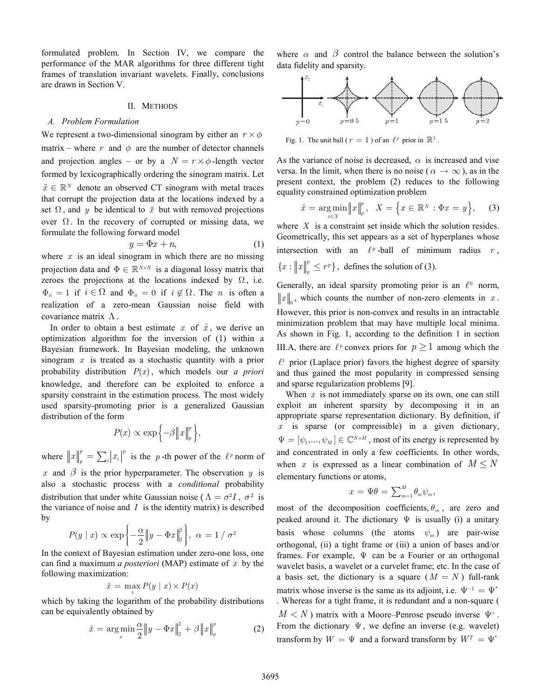formulated problem. In Section IV, we compare the performance of the MAR algorithms for three different tight frames of translation invariant wavelets. Finally, conclusions are drawn in Section V.

#### II. METHODS

## *A. Problem Formulation*

We represent a two-dimensional sinogram by either an  $r \times \phi$ matrix – where  $r$  and  $\phi$  are the number of detector channels and projection angles – or by a  $N = r \times \phi$ -length vector formed by lexicographically ordering the sinogram matrix. Let  $\tilde{x} \in \mathbb{R}^N$  denote an observed CT sinogram with metal traces that corrupt the projection data at the locations indexed by a set  $\Omega$ , and *y* be identical to  $\tilde{x}$  but with removed projections over  $\Omega$ . In the recovery of corrupted or missing data, we formulate the following forward model

$$
y = \Phi x + n,\tag{1}
$$

where  $x$  is an ideal sinogram in which there are no missing projection data and  $\Phi \in \mathbb{R}^{N \times N}$  is a diagonal lossy matrix that zeroes the projections at the locations indexed by  $\Omega$ , i.e.  $\Phi_{ii} = 1$  if  $i \in \Omega$  and  $\Phi_{ii} = 0$  if  $i \notin \Omega$ . The *n* is often a realization of a zero-mean Gaussian n noise field with covariance matrix  $\Lambda$ .

In order to obtain a best estimate  $x$  of  $\hat{x}$ , we derive an optimization algorithm for the inversion of (1) within a Bayesian framework. In Bayesian modeling, the unknown sinogram  $x$  is treated as a stochastic quantity with a prior probability distribution  $P(x)$ , which models our *a priori* knowledge, and therefore can be exploited to enforce a sparsity constraint in the estimation process. The most widely used sparsity-promoting prior is a generalized Gaussian distribution of the form

$$
P(x) \propto \exp\left\{-\beta \left\|x\right\|_p^p\right\},\
$$

where  $||x||_p^p = \sum_i |x_i|^p$  is the *p*-th power of the  $\ell^p$  norm of *x* and  $\beta$  is the prior hyperparameter. The observation *y* is also a stochastic process with a *conditional* probability distribution that under white Gaussian noise ( $\Lambda = \sigma^2 I$ ,  $\sigma^2$  is the variance of noise and  $I$  is the identity matrix) is described by

$$
P(y \mid x) \propto \exp\left\{-\frac{\alpha}{2} \|y - \Phi x\|_2^2\right\}, \ \alpha = 1 / \sigma^2
$$

In the context of Bayesian estimation under zero-one loss, one can find a maximum *a posteriori* (MAP) estimate of  $x$  by the following maximization:

$$
\hat{x} = \max_{x} P(y \mid x) \times P(x)
$$

which by taking the logarithm of the probability distributions can be equivalently obtained by

$$
\hat{x} = \underset{x}{\arg\min} \frac{\alpha}{2} \|y - \Phi x\|_2^2 + \beta \|x\|_p^p \tag{2}
$$

where  $\alpha$  and  $\beta$  control the balance between the solution's data fidelity and sparsity.



Fig. 1. The unit ball ( $r = 1$ ) of an  $\ell^p$  prior in  $\mathbb{R}^2$ .

As the variance of noise is decreased,  $\alpha$  is increased and vise versa. In the limit, when there is no noise ( $\alpha \rightarrow \infty$ ), as in the present context, the problem (2) reduces to the following equality constrained optimization problem

$$
\hat{x} = \underset{x \in X}{\arg\min} \|x\|_p^p, \quad X = \left\{x \in \mathbb{R}^N : \Phi x = y\right\}, \quad (3)
$$

where  $X$  is a constraint set inside which the solution resides. Geometrically, this set appears as a a set of hyperplanes whose intersection with an  $\ell^p$ -ball of minimum radius  $r$ ,  ${x: ||x||_p^p \leq r^p}$ , defines the solution of (3).

Generally, an ideal sparsity promoting prior is an  $\ell^0$  norm,  $\|x\|_0$ , which counts the number of non-zero elements in  $x$ . However, this prior is non-convex and results in an intractable minimization problem that may have multiple local minima. As shown in Fig. 1, according to the definition 1 in section III.A, there are  $\ell^p$  convex priors for  $p \ge 1$  among which the  $\ell$ <sup>1</sup> prior (Laplace prior) favors the highest degree of sparsity and thus gained the most popularity in compressed sensing and sparse regularization problems [ [9].

When  $x$  is not immediately sparse on its own, one can still exploit an inherent sparsity by decomposing it in an appropriate sparse representation dictionary. By definition, if *x* is sparse (or compressible) in a given dictionary,  $\Psi = [\psi_1, ..., \psi_M] \in \mathbb{C}^{N \times M}$ , most of its energy is represented by and concentrated in only a few co efficients. In other words, when *x* is expressed as a linear combination of  $M \leq N$ elementary functions or atoms,

$$
x = \Psi \theta = \sum_{m=1}^{M} \theta_m \psi_m,
$$

most of the decomposition coefficients,  $\theta_m$ , are zero and peaked around it. The dictionary  $\Psi$  is usually (i) a unitary basis whose columns (the atoms  $\psi_m$ ) are pair-wise orthogonal, (ii) a tight frame or (ii i) a union of bases and/or frames. For example,  $\Psi$  can be a Fourier or an orthogonal wavelet basis, a wavelet or a curvelet frame; etc. In the case of a basis set, the dictionary is a square  $(M = N)$  full-rank matrix whose inverse is the same as its adjoint, i.e.  $\Psi^{-1} = \Psi^*$ . Whereas for a tight frame, it is red dundant and a non-square (  $M < N$ ) matrix with a Moore–Penrose pseudo inverse  $\Psi^+$ . From the dictionary  $\Psi$ , we define an inverse (e.g. wavelet) transform by  $W = \Psi$  and a forward transform by  $W^T = \Psi^*$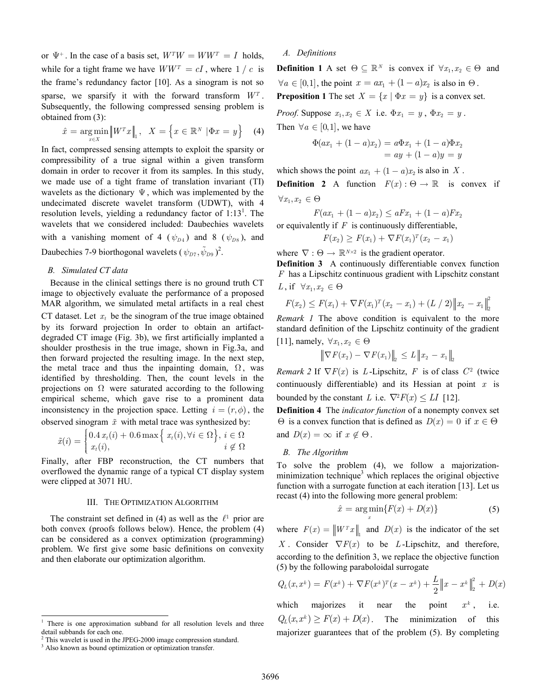or  $\Psi^+$ . In the case of a basis set,  $W^T W = WW^T = I$  holds, while for a tight frame we have  $WW^T = cI$ , where  $1/c$  is the frame's redundancy factor [10]. As a sinogram is not so sparse, we sparsify it with the forward transform *WT* . Subsequently, the following compressed sensing problem is obtained from (3):

$$
\hat{x} = \underset{x \in X}{\arg\min} \left\| W^T x \right\|_1, \quad X = \left\{ x \in \mathbb{R}^N \mid \Phi x = y \right\} \tag{4}
$$

In fact, compressed sensing attempts to exploit the sparsity or compressibility of a true signal within a given transform domain in order to recover it from its samples. In this study, we made use of a tight frame of translation invariant (TI) wavelets as the dictionary  $\Psi$ , which was implemented by the undecimated discrete wavelet transform (UDWT), with 4 resolution levels, yielding a redundancy factor of  $1:13<sup>1</sup>$ . The wavelets that we considered included: Daubechies wavelets with a vanishing moment of 4 ( $\psi_{D4}$ ) and 8 ( $\psi_{D8}$ ), and Daubechies 7-9 biorthogonal wavelets  $(\psi_{D7}, \tilde{\psi}_{D9})^2$ .

#### *B. Simulated CT data*

Because in the clinical settings there is no ground truth CT image to objectively evaluate the performance of a proposed MAR algorithm, we simulated metal artifacts in a real chest CT dataset. Let  $x_t$  be the sinogram of the true image obtained by its forward projection In order to obtain an artifactdegraded CT image (Fig. 3b), we first artificially implanted a shoulder prosthesis in the true image, shown in Fig.3a, and then forward projected the resulting image. In the next step, the metal trace and thus the inpainting domain,  $\Omega$ , was identified by thresholding. Then, the count levels in the projections on  $\Omega$  were saturated according to the following empirical scheme, which gave rise to a prominent data inconsistency in the projection space. Letting  $i = (r, \phi)$ , the observed sinogram  $\tilde{x}$  with metal trace was synthesized by:

$$
\tilde{x}(i) = \begin{cases} 0.4 x_i(i) + 0.6 \max\left\{ x_i(i), \forall i \in \Omega \right\}, i \in \Omega \\ x_i(i), & i \notin \Omega \end{cases}
$$

Finally, after FBP reconstruction, the CT numbers that overflowed the dynamic range of a typical CT display system were clipped at 3071 HU.

#### III. THE OPTIMIZATION ALGORITHM

The constraint set defined in (4) as well as the  $\ell^1$  prior are both convex (proofs follows below). Hence, the problem (4) can be considered as a convex optimization (programming) problem. We first give some basic definitions on convexity and then elaborate our optimization algorithm.

l

## *A. Definitions*

**Definition 1** A set  $\Theta \subseteq \mathbb{R}^N$  is convex if  $\forall x_1, x_2 \in \Theta$  and  $\forall a \in [0,1]$ , the point  $x = ax_1 + (1 - a)x_2$  is also in  $\Theta$ . **Preposition 1** The set  $X = \{x | \Phi x = y\}$  is a convex set.

*Proof.* Suppose  $x_1, x_2 \in X$  i.e.  $\Phi x_1 = y$ ,  $\Phi x_2 = y$ .

Then  $\forall a \in [0,1]$ , we have

$$
\Phi(ax_1 + (1 - a)x_2) = a\Phi x_1 + (1 - a)\Phi x_2
$$
  
= ay + (1 - a)y = y

which shows the point  $ax_1 + (1 - a)x_2$  is also in X. **Definition 2** A function  $F(x): \Theta \to \mathbb{R}$  is convex if  $\forall x_1, x_2 \in \Theta$ 

$$
F(ax_1 + (1 - a)x_2) \le aFx_1 + (1 - a)Fx_2
$$

or equivalently if *F* is continuously differentiable,

$$
F(x_2) \geq F(x_1) + \nabla F(x_1)^T (x_2 - x_1)
$$

where  $\nabla$  :  $\Theta \to \mathbb{R}^{N \times 2}$  is the gradient operator.

**Definition 3** A continuously differentiable convex function *F* has a Lipschitz continuous gradient with Lipschitz constant *L*, if  $\forall x_1, x_2 \in \Theta$ 

$$
F(x_2) \leq F(x_1) + \nabla F(x_1)^T (x_2 - x_1) + (L / 2) \|x_2 - x_1\|_2^2
$$

*Remark 1* The above condition is equivalent to the more standard definition of the Lipschitz continuity of the gradient [11], namely,  $\forall x_1, x_2 \in \Theta$ 

$$
\left\| \nabla F(x_2) - \nabla F(x_1) \right\|_2 \leq L \left\| x_2 - x_1 \right\|_2
$$

*Remark 2* If  $\nabla F(x)$  is *L*-Lipschitz, *F* is of class  $C^2$  (twice continuously differentiable) and its Hessian at point *x* is bounded by the constant *L* i.e.  $\nabla^2 F(x) \leq L I$  [12].

**Definition 4** The *indicator function* of a nonempty convex set  $\Theta$  is a convex function that is defined as  $D(x) = 0$  if  $x \in \Theta$ and  $D(x) = \infty$  if  $x \notin \Theta$ .

## *B. The Algorithm*

To solve the problem (4), we follow a majorizationminimization technique<sup>3</sup> which replaces the original objective function with a surrogate function at each iteration [13]. Let us recast (4) into the following more general problem:

$$
\hat{x} = \underset{x}{\arg\min} \{ F(x) + D(x) \} \tag{5}
$$

where  $F(x) = ||W^T x||$  and  $D(x)$  is the indicator of the set *X*. Consider  $\nabla F(x)$  to be *L*-Lipschitz, and therefore, according to the definition 3, we replace the objective function (5) by the following paraboloidal surrogate

$$
Q_L(x, x^k) = F(x^k) + \nabla F(x^k)^\text{T} (x - x^k) + \frac{L}{2} ||x - x^k||_2^2 + D(x)
$$

which majorizes it near the point  $x^k$ , i.e.  $Q_L(x, x^k) \geq F(x) + D(x)$ . The minimization of this majorizer guarantees that of the problem (5). By completing

<sup>1</sup> There is one approximation subband for all resolution levels and three detail subbands for each one.

<sup>2</sup> This wavelet is used in the JPEG-2000 image compression standard.

<sup>&</sup>lt;sup>3</sup> Also known as bound optimization or optimization transfer.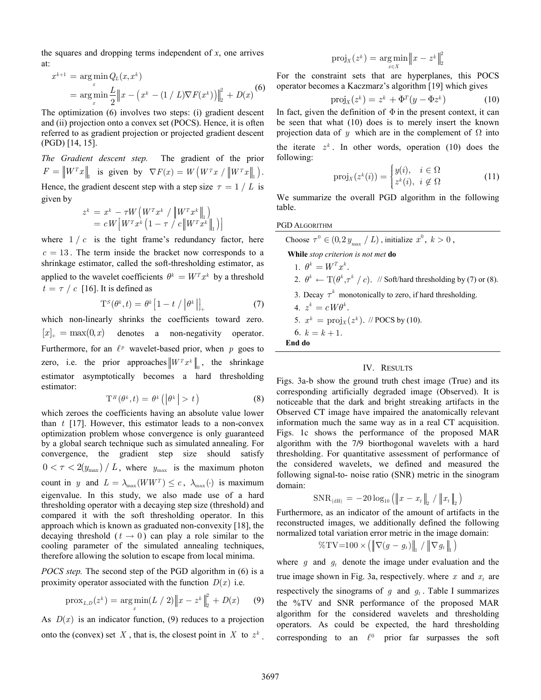the squares and dropping terms independent of *x*, one arrives at:

$$
x^{k+1} = \arg\min_{x} Q_L(x, x^k)
$$
  
= 
$$
\arg\min_{x} \frac{L}{2} \|x - (x^k - (1/L)\nabla F(x^k))\|_2^2 + D(x)
$$
<sup>(6)</sup>

The optimization (6) involves two steps: (i) gradient descent and (ii) projection onto a convex set (POCS). Hence, it is often referred to as gradient projection or projected gradient descent (PGD) [14, 15].

*The Gradient descent step.* The gradient of the prior  $F = \|W^T x\|_1$  is given by  $\nabla F(x) = W(W^T x / \|W^T x\|_1).$ Hence, the gradient descent step with a step size  $\tau = 1 / L$  is given by

$$
z^{k} = x^{k} - \tau W \left( W^{T} x^{k} / \| W^{T} x^{k} \|_{1} \right)
$$
  
=  $c W \left[ W^{T} x^{k} \left( 1 - \tau / c \| W^{T} x^{k} \|_{1} \right) \right]$ 

where  $1/c$  is the tight frame's redundancy factor, here  $c = 13$ . The term inside the bracket now corresponds to a shrinkage estimator, called the soft-thresholding estimator, as applied to the wavelet coefficients  $\theta^k = W^T x^k$  by a threshold  $t = \tau / c$  [16]. It is defined as

$$
\mathcal{T}^{S}(\theta^{k},t) = \theta^{k} \left[1 - t / \left|\theta^{k}\right|\right]_{+}
$$
 (7)

which non-linearly shrinks the coefficients toward zero.  $[x]_{+} = \max(0, x)$  denotes a non-negativity operator. Furthermore, for an  $\ell^p$  wavelet-based prior, when  $p$  goes to zero, i.e. the prior approaches  $\left\| W^T x^k \right\|_2$ , the shrinkage estimator asymptotically becomes a hard thresholding estimator:

$$
T^H(\theta^k, t) = \theta^k \left( \left| \theta^k \right| > t \right) \tag{8}
$$

which zeroes the coefficients having an absolute value lower than *t* [17]. However, this estimator leads to a non-convex optimization problem whose convergence is only guaranteed by a global search technique such as simulated annealing. For convergence, the gradient step size should satisfy  $0 < \tau < 2(y_{\text{max}}) / L$ , where  $y_{\text{max}}$  is the maximum photon count in *y* and  $L = \lambda_{\text{max}} (WW^T) \leq c$ ,  $\lambda_{\text{max}} (\cdot)$  is maximum eigenvalue. In this study, we also made use of a hard thresholding operator with a decaying step size (threshold) and compared it with the soft thresholding operator. In this approach which is known as graduated non-convexity [18], the decaying threshold  $(t \rightarrow 0)$  can play a role similar to the cooling parameter of the simulated annealing techniques, therefore allowing the solution to escape from local minima.

*POCS step.* The second step of the PGD algorithm in (6) is a proximity operator associated with the function  $D(x)$  i.e.

$$
\text{prox}_{L,D}(z^k) = \argmin_{x} (L / 2) \|x - z^k\|_2^2 + D(x) \qquad (9)
$$

As  $D(x)$  is an indicator function, (9) reduces to a projection onto the (convex) set *X*, that is, the closest point in *X* to  $z^k$ .

$$
\textup{proj}_X(z^k) = \argmin_{x \in X} \left\| x - z^k \right\|_2^2
$$

For the constraint sets that are hyperplanes, this POCS operator becomes a Kaczmarz's algorithm [19] which gives

$$
\text{proj}_X(z^k) = z^k + \Phi^T(y - \Phi z^k)
$$
 (10)

In fact, given the definition of  $\Phi$  in the present context, it can be seen that what (10) does is to merely insert the known projection data of *y* which are in the complement of  $\Omega$  into the iterate  $z^k$ . In other words, operation (10) does the following:

$$
\text{proj}_X(z^k(i)) = \begin{cases} y(i), & i \in \Omega \\ z^k(i), & i \notin \Omega \end{cases}
$$
 (11)

We summarize the overall PGD algorithm in the following table.

## PGD ALGORITHM

Choose 
$$
\tau^0 \in (0, 2y_{\text{max}} / L)
$$
, initialize  $x^0$ ,  $k > 0$ ,  
\nWhile *stop criterion is not met* do  
\n1.  $\theta^k = W^T x^k$ .  
\n2.  $\theta^k \leftarrow T(\theta^k, \tau^k / c)$ . // Soft-hard thresholding by (7) or (8).  
\n3. Decay  $\tau^k$  monotonically to zero, if hard thresholding.  
\n4.  $z^k = cW\theta^k$ .  
\n5.  $x^k = \text{proj}_X(z^k)$ . // POCS by (10).  
\n6.  $k = k + 1$ .  
\nEnd do

## IV. RESULTS

Figs. 3a-b show the ground truth chest image (True) and its corresponding artificially degraded image (Observed). It is noticeable that the dark and bright streaking artifacts in the Observed CT image have impaired the anatomically relevant information much the same way as in a real CT acquisition. Figs. 1c shows the performance of the proposed MAR algorithm with the 7/9 biorthogonal wavelets with a hard thresholding. For quantitative assessment of performance of the considered wavelets, we defined and measured the following signal-to- noise ratio (SNR) metric in the sinogram domain:

$$
\text{SNR}_{\text{(dB)}}\, =\, -20 \log_{10} \left( \left\| x - x_t \right\|_2 / \left\| x_t \right\|_2 \right)
$$

Furthermore, as an indicator of the amount of artifacts in the reconstructed images, we additionally defined the following normalized total variation error metric in the image domain:

$$
\%\text{TV}=100 \times \left( \left\| \nabla (g - g_t) \right\|_{1} / \left\| \nabla g_t \right\|_{1} \right)
$$

where  $g$  and  $g_t$  denote the image under evaluation and the true image shown in Fig. 3a, respectively. where  $x$  and  $x_t$  are respectively the sinograms of  $g$  and  $g_t$ . Table I summarizes the %TV and SNR performance of the proposed MAR algorithm for the considered wavelets and thresholding operators. As could be expected, the hard thresholding corresponding to an  $\ell^0$  prior far surpasses the soft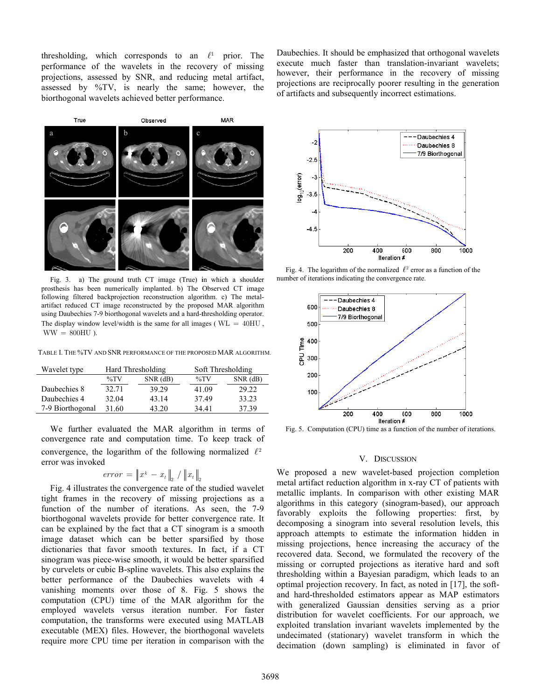thresholding, which corresponds to an  $l^1$  prior. The performance of the wavelets in the recovery of missing projections, assessed by SNR, and reducing metal artifact, assessed by %TV, is nearly the same; however, the biorthogonal wavelets achieved better perform mance.

**MAR** True Ohserved a b c

Fig. 3. a) The ground truth CT image (True) in which a shoulder prosthesis has been numerically implanted. b) The Observed CT image following filtered backprojection reconstruction algorithm. c) The metalartifact reduced CT image reconstructed by the proposed MAR algorithm using Daubechies 7-9 biorthogonal wavelets and a hard-thresholding operator. The display window level/width is the same for all images ( $WL = 40HU$ ,  $WW = 800HU$  ).

TABLE I. THE %TV AND SNR PERFORMANCE OF THE PROPOSED MAR ALGORITHM.

| Wavelet type     | Hard Thresholding |            | Soft Thresholding |            |
|------------------|-------------------|------------|-------------------|------------|
|                  | $\%$ TV           | $SNR$ (dB) | $\%$ TV           | $SNR$ (dB) |
| Daubechies 8     | 32.71             | 39.29      | 41.09             | 29.22      |
| Daubechies 4     | 32.04             | 43 14      | 3749              | 33.23      |
| 7-9 Biorthogonal | 31.60             | 43.20      | 34.41             | 3739       |

We further evaluated the MAR algorithm in terms of convergence rate and computation time. To keep track of convergence, the logarithm of the following normalized  $\ell^2$ error was invoked

$$
error = \left\|x^k - x_t\right\|_2 / \left\|x_t\right\|_2
$$

Fig. 4 illustrates the convergence rate of the studied wavelet tight frames in the recovery of missing projections as a function of the number of iterations. As seen, the 7-9 biorthogonal wavelets provide for better convergence rate. It can be explained by the fact that a CT sinogram is a smooth image dataset which can be better sparsified by those dictionaries that favor smooth textures. In fact, if a CT sinogram was piece-wise smooth, it would be better sparsified by curvelets or cubic B-spline wavelets. This also explains the better performance of the Daubechies wavelets with 4 vanishing moments over those of 8. Fig. 5 shows the computation (CPU) time of the MAR al lgorithm for the employed wavelets versus iteration number. For faster computation, the transforms were executed using MATLAB executable (MEX) files. However, the biorthogonal wavelets require more CPU time per iteration in comparison with the



Daubechies. It should be emphasized that orthogonal wavelets execute much faster than trans lation-invariant wavelets; however, their performance in the recovery of missing projections are reciprocally poorer resulting in the generation

of artifacts and subsequently incorrect estimations.

Fig. 4. The logarithm of the normalized  $\ell^2$  error as a function of the number of iterations indicating the convergence rate.



Fig. 5. Computation (CPU) time as a function of the number of iterations.

#### V. DISCUSS ION

We proposed a new wavelet-bas ed projection completion metal artifact reduction algorithm in x-ray CT of patients with metallic implants. In comparison with other existing MAR algorithms in this category (sinogram-based), our approach favorably exploits the following properties: first, by decomposing a sinogram into several resolution levels, this approach attempts to estimate th he information hidden in missing projections, hence increasing the accuracy of the recovered data. Second, we formulated the recovery of the missing or corrupted projections as iterative hard and soft thresholding within a Bayesian paradigm, which leads to an optimal projection recovery. In fact , as noted in [17], the softand hard-thresholded estimators appear as MAP estimators with generalized Gaussian densities serving as a prior distribution for wavelet coefficients. For our approach, we exploited translation invariant wavelets implemented by the undecimated (stationary) wavelet transform in which the decimation (down sampling) is eliminated in favor of